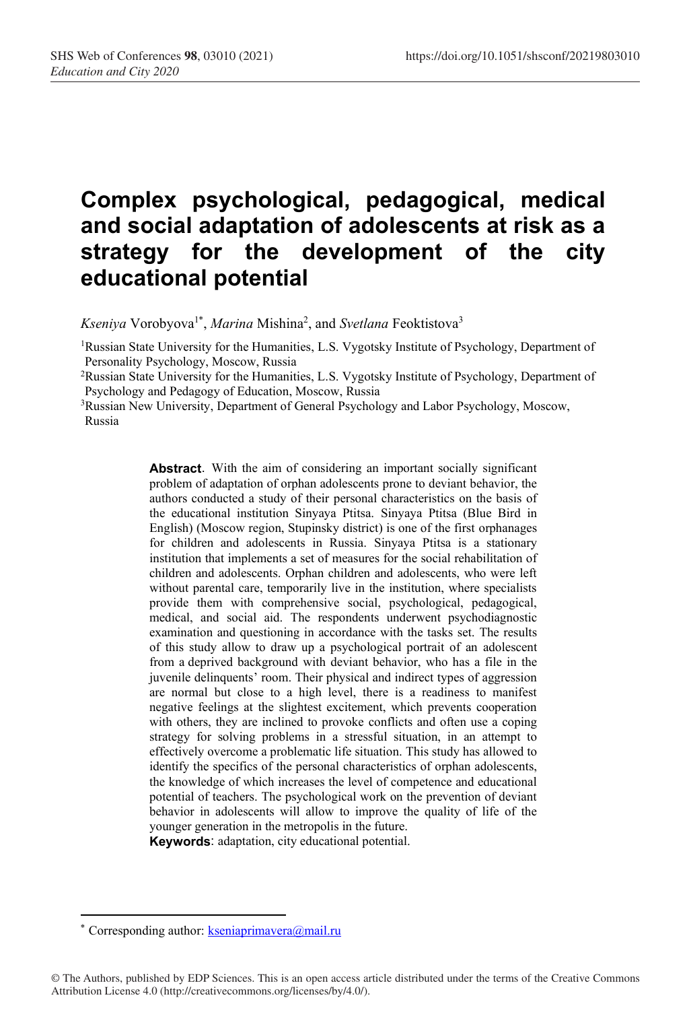# **Complex psychological, pedagogical, medical and social adaptation of adolescents at risk as a strategy for the development of the city educational potential**

Kseniya Vorobyova<sup>1\*</sup>, *Marina* Mishina<sup>2</sup>, and *Svetlana* Feoktistova<sup>3</sup>

<sup>1</sup>Russian State University for the Humanities, L.S. Vygotsky Institute of Psychology, Department of Personality Psychology, Moscow, Russia

2Russian State University for the Humanities, L.S. Vygotsky Institute of Psychology, Department of Psychology and Pedagogy of Education, Moscow, Russia

<sup>3</sup>Russian New University, Department of General Psychology and Labor Psychology, Moscow, Russia

> **Abstract**. With the aim of considering an important socially significant problem of adaptation of orphan adolescents prone to deviant behavior, the authors conducted a study of their personal characteristics on the basis of the educational institution Sinyaya Ptitsa. Sinyaya Ptitsa (Blue Bird in English) (Moscow region, Stupinsky district) is one of the first orphanages for children and adolescents in Russia. Sinyaya Ptitsa is a stationary institution that implements a set of measures for the social rehabilitation of children and adolescents. Orphan children and adolescents, who were left without parental care, temporarily live in the institution, where specialists provide them with comprehensive social, psychological, pedagogical, medical, and social aid. The respondents underwent psychodiagnostic examination and questioning in accordance with the tasks set. The results of this study allow to draw up a psychological portrait of an adolescent from a deprived background with deviant behavior, who has a file in the juvenile delinquents' room. Their physical and indirect types of aggression are normal but close to a high level, there is a readiness to manifest negative feelings at the slightest excitement, which prevents cooperation with others, they are inclined to provoke conflicts and often use a coping strategy for solving problems in a stressful situation, in an attempt to effectively overcome a problematic life situation. This study has allowed to identify the specifics of the personal characteristics of orphan adolescents, the knowledge of which increases the level of competence and educational potential of teachers. The psychological work on the prevention of deviant behavior in adolescents will allow to improve the quality of life of the younger generation in the metropolis in the future.

**Keywords**: adaptation, city educational potential.

<sup>\*</sup> Corresponding author: kseniaprimavera@mail.ru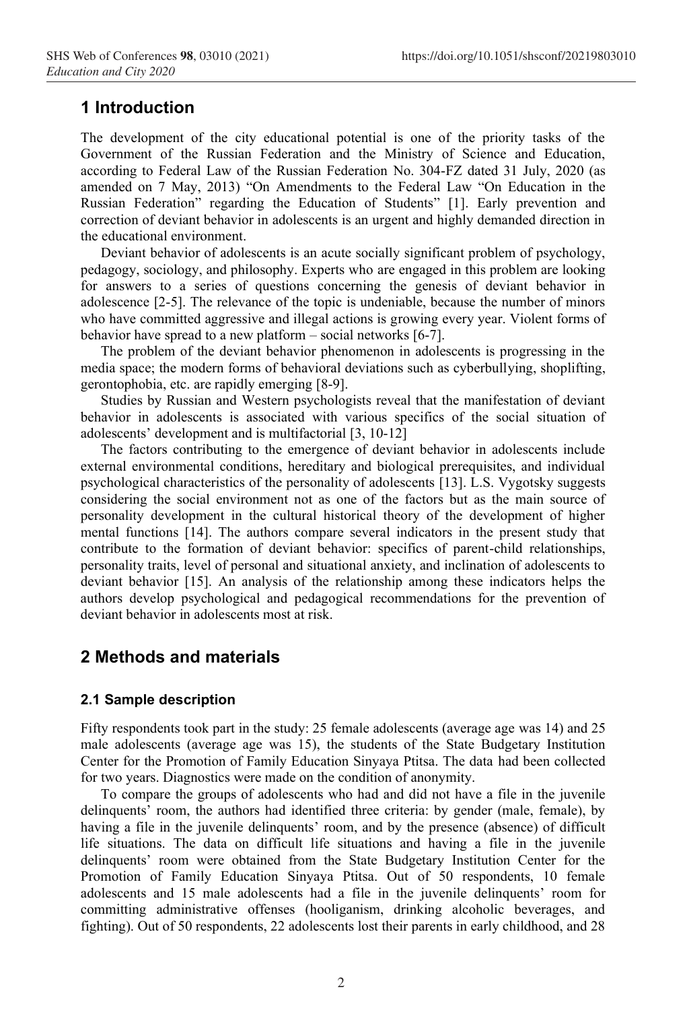## **1 Introduction**

The development of the city educational potential is one of the priority tasks of the Government of the Russian Federation and the Ministry of Science and Education, according to Federal Law of the Russian Federation No. 304-FZ dated 31 July, 2020 (as amended on 7 May, 2013) "On Amendments to the Federal Law "On Education in the Russian Federation" regarding the Education of Students" [1]. Early prevention and correction of deviant behavior in adolescents is an urgent and highly demanded direction in the educational environment.

Deviant behavior of adolescents is an acute socially significant problem of psychology, pedagogy, sociology, and philosophy. Experts who are engaged in this problem are looking for answers to a series of questions concerning the genesis of deviant behavior in adolescence [2-5]. The relevance of the topic is undeniable, because the number of minors who have committed aggressive and illegal actions is growing every year. Violent forms of behavior have spread to a new platform – social networks [6-7].

The problem of the deviant behavior phenomenon in adolescents is progressing in the media space; the modern forms of behavioral deviations such as cyberbullying, shoplifting, gerontophobia, etc. are rapidly emerging [8-9].

Studies by Russian and Western psychologists reveal that the manifestation of deviant behavior in adolescents is associated with various specifics of the social situation of adolescents' development and is multifactorial [3, 10-12]

The factors contributing to the emergence of deviant behavior in adolescents include external environmental conditions, hereditary and biological prerequisites, and individual psychological characteristics of the personality of adolescents [13]. L.S. Vygotsky suggests considering the social environment not as one of the factors but as the main source of personality development in the cultural historical theory of the development of higher mental functions [14]. The authors compare several indicators in the present study that contribute to the formation of deviant behavior: specifics of parent-child relationships, personality traits, level of personal and situational anxiety, and inclination of adolescents to deviant behavior [15]. An analysis of the relationship among these indicators helps the authors develop psychological and pedagogical recommendations for the prevention of deviant behavior in adolescents most at risk.

# **2 Methods and materials**

#### **2.1 Sample description**

Fifty respondents took part in the study: 25 female adolescents (average age was 14) and 25 male adolescents (average age was 15), the students of the State Budgetary Institution Center for the Promotion of Family Education Sinyaya Ptitsa. The data had been collected for two years. Diagnostics were made on the condition of anonymity.

To compare the groups of adolescents who had and did not have a file in the juvenile delinquents' room, the authors had identified three criteria: by gender (male, female), by having a file in the juvenile delinquents' room, and by the presence (absence) of difficult life situations. The data on difficult life situations and having a file in the juvenile delinquents' room were obtained from the State Budgetary Institution Center for the Promotion of Family Education Sinyaya Ptitsa. Out of 50 respondents, 10 female adolescents and 15 male adolescents had a file in the juvenile delinquents' room for committing administrative offenses (hooliganism, drinking alcoholic beverages, and fighting). Out of 50 respondents, 22 adolescents lost their parents in early childhood, and 28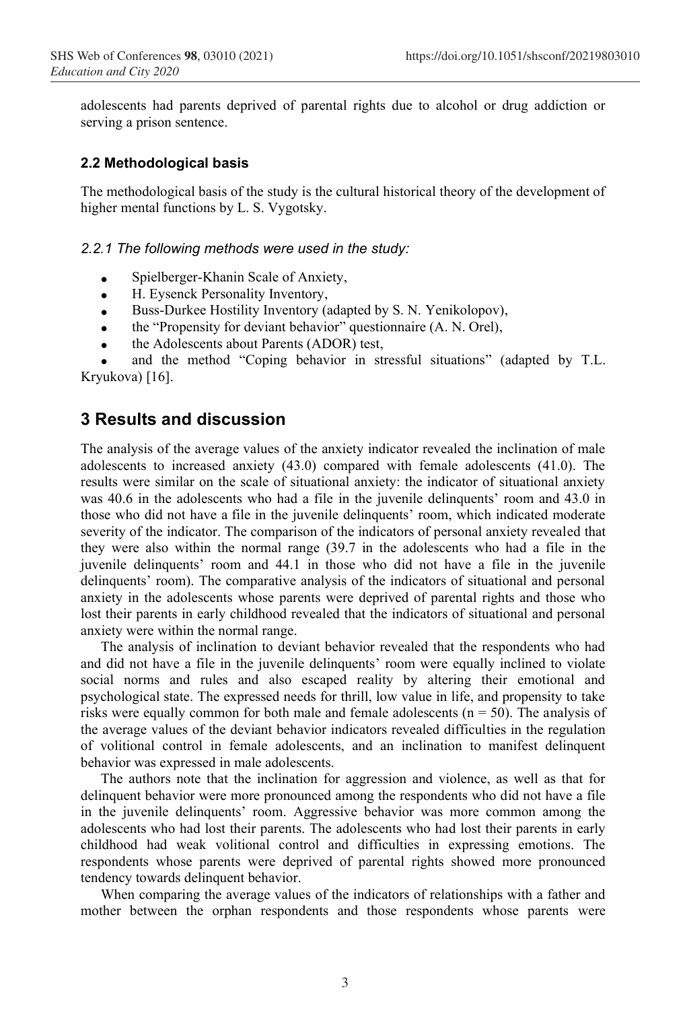adolescents had parents deprived of parental rights due to alcohol or drug addiction or serving a prison sentence.

#### **2.2 Methodological basis**

The methodological basis of the study is the cultural historical theory of the development of higher mental functions by L. S. Vygotsky.

#### *2.2.1 The following methods were used in the study:*

- Spielberger-Khanin Scale of Anxiety,
- H. Eysenck Personality Inventory,
- Buss-Durkee Hostility Inventory (adapted by S. N. Yenikolopov),
- the "Propensity for deviant behavior" questionnaire (A. N. Orel),
- the Adolescents about Parents (ADOR) test,

and the method "Coping behavior in stressful situations" (adapted by T.L. Kryukova) [16].

## **3 Results and discussion**

The analysis of the average values of the anxiety indicator revealed the inclination of male adolescents to increased anxiety (43.0) compared with female adolescents (41.0). The results were similar on the scale of situational anxiety: the indicator of situational anxiety was 40.6 in the adolescents who had a file in the juvenile delinquents' room and 43.0 in those who did not have a file in the juvenile delinquents' room, which indicated moderate severity of the indicator. The comparison of the indicators of personal anxiety revealed that they were also within the normal range (39.7 in the adolescents who had a file in the juvenile delinquents' room and 44.1 in those who did not have a file in the juvenile delinquents' room). The comparative analysis of the indicators of situational and personal anxiety in the adolescents whose parents were deprived of parental rights and those who lost their parents in early childhood revealed that the indicators of situational and personal anxiety were within the normal range.

The analysis of inclination to deviant behavior revealed that the respondents who had and did not have a file in the juvenile delinquents' room were equally inclined to violate social norms and rules and also escaped reality by altering their emotional and psychological state. The expressed needs for thrill, low value in life, and propensity to take risks were equally common for both male and female adolescents ( $n = 50$ ). The analysis of the average values of the deviant behavior indicators revealed difficulties in the regulation of volitional control in female adolescents, and an inclination to manifest delinquent behavior was expressed in male adolescents.

The authors note that the inclination for aggression and violence, as well as that for delinquent behavior were more pronounced among the respondents who did not have a file in the juvenile delinquents' room. Aggressive behavior was more common among the adolescents who had lost their parents. The adolescents who had lost their parents in early childhood had weak volitional control and difficulties in expressing emotions. The respondents whose parents were deprived of parental rights showed more pronounced tendency towards delinquent behavior.

When comparing the average values of the indicators of relationships with a father and mother between the orphan respondents and those respondents whose parents were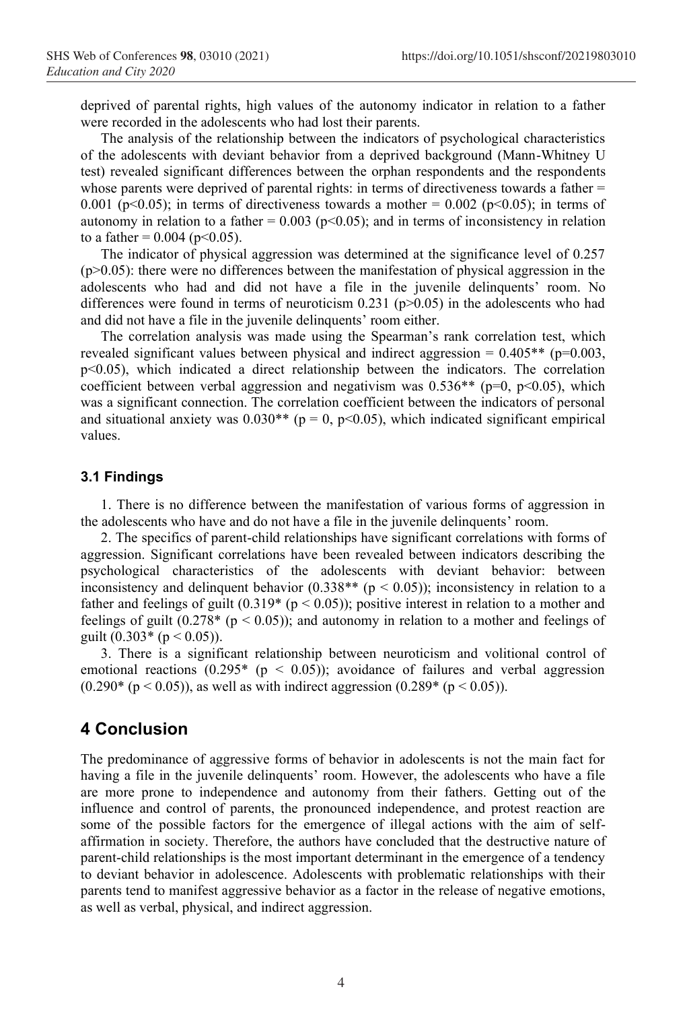deprived of parental rights, high values of the autonomy indicator in relation to a father were recorded in the adolescents who had lost their parents.

The analysis of the relationship between the indicators of psychological characteristics of the adolescents with deviant behavior from a deprived background (Mann-Whitney U test) revealed significant differences between the orphan respondents and the respondents whose parents were deprived of parental rights: in terms of directiveness towards a father = 0.001 (p<0.05); in terms of directiveness towards a mother = 0.002 (p<0.05); in terms of autonomy in relation to a father =  $0.003$  (p<0.05); and in terms of inconsistency in relation to a father =  $0.004$  (p<0.05).

The indicator of physical aggression was determined at the significance level of 0.257  $(p>0.05)$ : there were no differences between the manifestation of physical aggression in the adolescents who had and did not have a file in the juvenile delinquents' room. No differences were found in terms of neuroticism  $0.231$  (p $>0.05$ ) in the adolescents who had and did not have a file in the juvenile delinquents' room either.

The correlation analysis was made using the Spearman's rank correlation test, which revealed significant values between physical and indirect aggression =  $0.405**$  (p=0.003, p<0.05), which indicated a direct relationship between the indicators. The correlation coefficient between verbal aggression and negativism was  $0.536**$  (p=0, p<0.05), which was a significant connection. The correlation coefficient between the indicators of personal and situational anxiety was  $0.030**$  (p = 0, p<0.05), which indicated significant empirical values.

#### **3.1 Findings**

1. There is no difference between the manifestation of various forms of aggression in the adolescents who have and do not have a file in the juvenile delinquents' room.

2. The specifics of parent-child relationships have significant correlations with forms of aggression. Significant correlations have been revealed between indicators describing the psychological characteristics of the adolescents with deviant behavior: between inconsistency and delinquent behavior (0.338<sup>\*\*</sup> ( $p < 0.05$ )); inconsistency in relation to a father and feelings of guilt  $(0.319<sup>*</sup> (p < 0.05))$ ; positive interest in relation to a mother and feelings of guilt  $(0.278*(p < 0.05))$ ; and autonomy in relation to a mother and feelings of guilt  $(0.303*(p < 0.05))$ .

3. There is a significant relationship between neuroticism and volitional control of emotional reactions (0.295\* ( $p < 0.05$ )); avoidance of failures and verbal aggression  $(0.290*(p < 0.05))$ , as well as with indirect aggression  $(0.289*(p < 0.05))$ .

### **4 Conclusion**

The predominance of aggressive forms of behavior in adolescents is not the main fact for having a file in the juvenile delinquents' room. However, the adolescents who have a file are more prone to independence and autonomy from their fathers. Getting out of the influence and control of parents, the pronounced independence, and protest reaction are some of the possible factors for the emergence of illegal actions with the aim of selfaffirmation in society. Therefore, the authors have concluded that the destructive nature of parent-child relationships is the most important determinant in the emergence of a tendency to deviant behavior in adolescence. Adolescents with problematic relationships with their parents tend to manifest aggressive behavior as a factor in the release of negative emotions, as well as verbal, physical, and indirect aggression.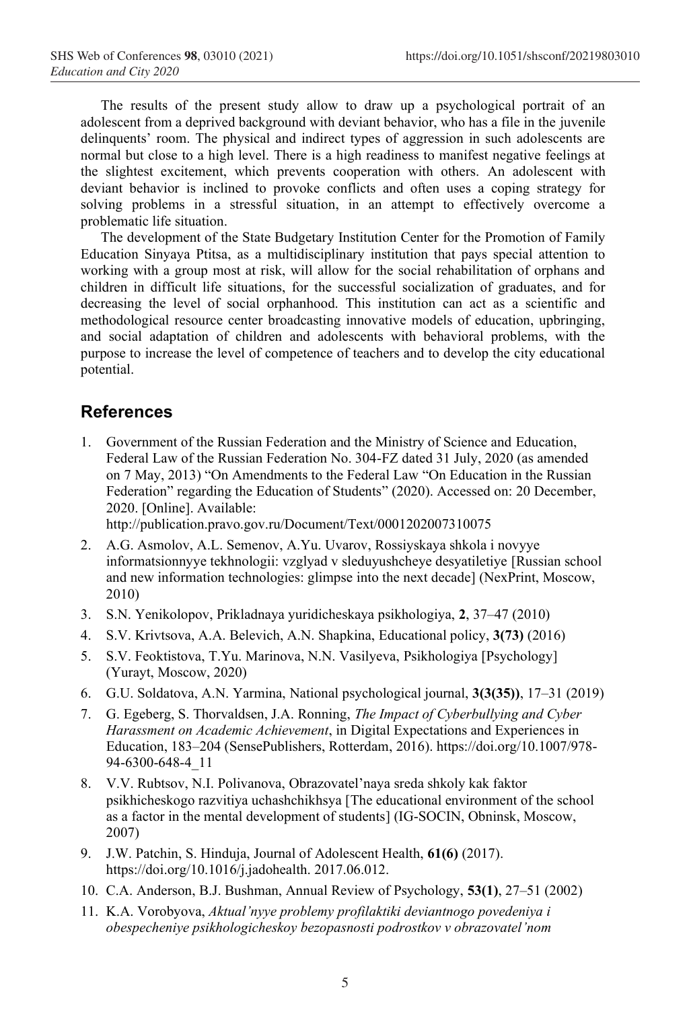The results of the present study allow to draw up a psychological portrait of an adolescent from a deprived background with deviant behavior, who has a file in the juvenile delinquents' room. The physical and indirect types of aggression in such adolescents are normal but close to a high level. There is a high readiness to manifest negative feelings at the slightest excitement, which prevents cooperation with others. An adolescent with deviant behavior is inclined to provoke conflicts and often uses a coping strategy for solving problems in a stressful situation, in an attempt to effectively overcome a problematic life situation.

The development of the State Budgetary Institution Center for the Promotion of Family Education Sinyaya Ptitsa, as a multidisciplinary institution that pays special attention to working with a group most at risk, will allow for the social rehabilitation of orphans and children in difficult life situations, for the successful socialization of graduates, and for decreasing the level of social orphanhood. This institution can act as a scientific and methodological resource center broadcasting innovative models of education, upbringing, and social adaptation of children and adolescents with behavioral problems, with the purpose to increase the level of competence of teachers and to develop the city educational potential.

# **References**

1. Government of the Russian Federation and the Ministry of Science and Education, Federal Law of the Russian Federation No. 304-FZ dated 31 July, 2020 (as amended on 7 May, 2013) "On Amendments to the Federal Law "On Education in the Russian Federation" regarding the Education of Students" (2020). Accessed on: 20 December, 2020. [Online]. Available:

http://publication.pravo.gov.ru/Document/Text/0001202007310075

- 2. A.G. Asmolov, A.L. Semenov, A.Yu. Uvarov, Rossiyskaya shkola i novyye informatsionnyye tekhnologii: vzglyad v sleduyushcheye desyatiletiye [Russian school and new information technologies: glimpse into the next decade] (NexPrint, Moscow, 2010)
- 3. S.N. Yenikolopov, Prikladnaya yuridicheskaya psikhologiya, **2**, 37–47 (2010)
- 4. S.V. Krivtsova, A.A. Belevich, A.N. Shapkina, Educational policy, **3(73)** (2016)
- 5. S.V. Feoktistova, T.Yu. Marinova, N.N. Vasilyeva, Psikhologiya [Psychology] (Yurayt, Moscow, 2020)
- 6. G.U. Soldatova, A.N. Yarmina, National psychological journal, **3(3(35))**, 17–31 (2019)
- 7. G. Egeberg, S. Thorvaldsen, J.A. Ronning, *The Impact of Cyberbullying and Cyber Harassment on Academic Achievement*, in Digital Expectations and Experiences in Education, 183–204 (SensePublishers, Rotterdam, 2016). https://doi.org/10.1007/978- 94-6300-648-4\_11
- 8. V.V. Rubtsov, N.I. Polivanova, Obrazovatel'naya sreda shkoly kak faktor psikhicheskogo razvitiya uchashchikhsya [The educational environment of the school as a factor in the mental development of students] (IG-SOCIN, Obninsk, Moscow, 2007)
- 9. J.W. Patchin, S. Hinduja, Journal of Adolescent Health, **61(6)** (2017). https://doi.org/10.1016/j.jadohealth. 2017.06.012.
- 10. C.A. Anderson, B.J. Bushman, Annual Review of Psychology, **53(1)**, 27–51 (2002)
- 11. K.A. Vorobyova, *Aktual'nyye problemy profilaktiki deviantnogo povedeniya i obespecheniye psikhologicheskoy bezopasnosti podrostkov v obrazovatel'nom*